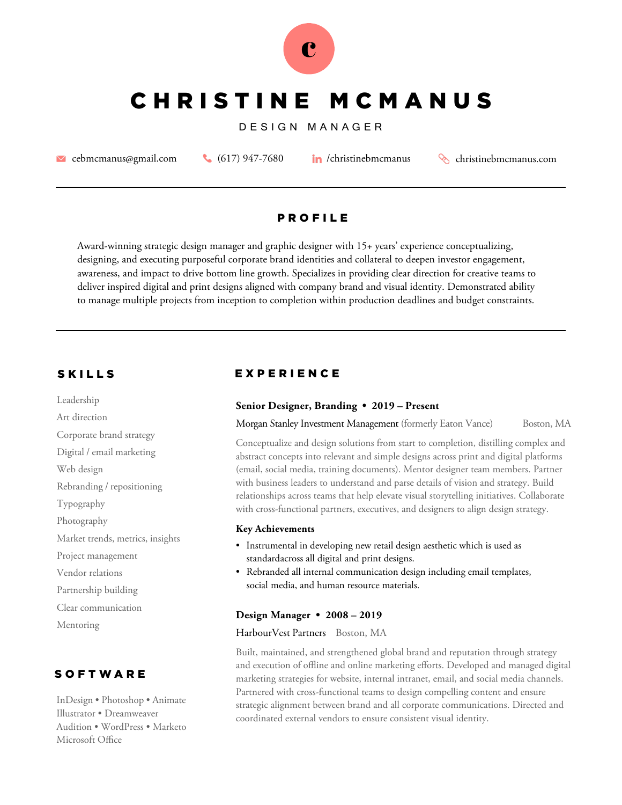

# CHRISTINE MCMANUS

### DESIGN MANAGER

**Example 18 [cebmcmanus@gmail.com](mailto:cebmcmanus@gmail.com)** (617) 947-7680 *in* /christinebmcmanus christinebmcmanus.com

# **P R O F I L E**

Award-winning strategic design manager and graphic designer with 15+ years' experience conceptualizing, designing, and executing purposeful corporate brand identities and collateral to deepen investor engagement, awareness, and impact to drive bottom line growth. Specializes in providing clear direction for creative teams to deliver inspired digital and print designs aligned with company brand and visual identity. Demonstrated ability to manage multiple projects from inception to completion within production deadlines and budget constraints.

Leadership Art direction Corporate brand strategy Digital / email marketing Web design Rebranding / repositioning Typography Photography Market trends, metrics, insights Project management Vendor relations Partnership building Clear communication Mentoring

# **SOFTWARE**

InDesign • Photoshop • Animate Illustrator • Dreamweaver Audition • WordPress • Marketo Microsoft Office

# SKILLS EXPERIENCE

#### **Senior Designer, Branding • 2019 – Present**

Morgan Stanley Investment Management (formerly Eaton Vance) Boston, MA

Conceptualize and design solutions from start to completion, distilling complex and abstract concepts into relevant and simple designs across print and digital platforms (email, social media, training documents). Mentor designer team members. Partner with business leaders to understand and parse details of vision and strategy. Build relationships across teams that help elevate visual storytelling initiatives. Collaborate with cross-functional partners, executives, and designers to align design strategy.

#### **Key Achievements**

- Instrumental in developing new retail design aesthetic which is used as standardacross all digital and print designs.
- Rebranded all internal communication design including email templates, social media, and human resource materials.

#### **Design Manager • 2008 – 2019**

#### HarbourVest Partners Boston, MA

Built, maintained, and strengthened global brand and reputation through strategy and execution of offline and online marketing efforts. Developed and managed digital marketing strategies for website, internal intranet, email, and social media channels. Partnered with cross-functional teams to design compelling content and ensure strategic alignment between brand and all corporate communications. Directed and coordinated external vendors to ensure consistent visual identity.